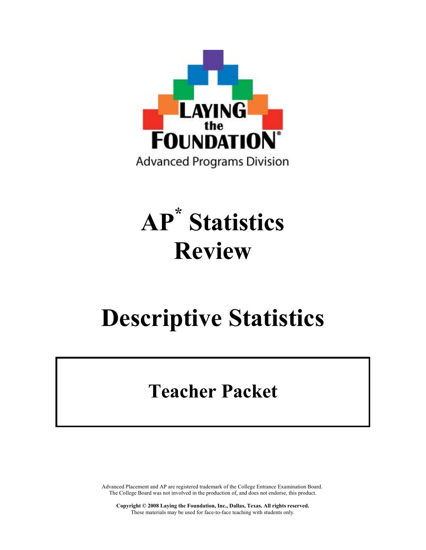

# AP\* Statistics Review

# Descriptive Statistics

# Teacher Packet

Advanced Placement and AP are registered trademark of the College Entrance Examination Board. The College Board was not involved in the production of, and does not endorse, this product.

Copyright © 2008 Laying the Foundation, Inc., Dallas, Texas. All rights reserved. These materials may be used for face-to-face teaching with students only.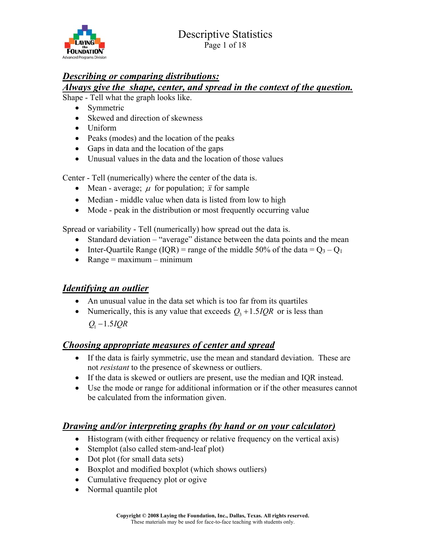

# *Describing or comparing distributions:*

# *Always give the shape, center, and spread in the context of the question.*

Shape - Tell what the graph looks like.

- Symmetric
- Skewed and direction of skewness
- Uniform
- Peaks (modes) and the location of the peaks
- Gaps in data and the location of the gaps
- Unusual values in the data and the location of those values

Center - Tell (numerically) where the center of the data is.

- Mean average;  $\mu$  for population;  $\bar{x}$  for sample
- Median middle value when data is listed from low to high
- Mode peak in the distribution or most frequently occurring value

Spread or variability - Tell (numerically) how spread out the data is.

- Standard deviation "average" distance between the data points and the mean
- Inter-Quartile Range (IQR) = range of the middle 50% of the data =  $Q_3 Q_1$
- $\bullet$  Range = maximum minimum

# *Identifying an outlier*

- An unusual value in the data set which is too far from its quartiles
- Numerically, this is any value that exceeds  $Q_3 + 1.5IQR$  or is less than  $Q_1 - 1.5 IQR$

# *Choosing appropriate measures of center and spread*

- ! If the data is fairly symmetric, use the mean and standard deviation. These are not *resistant* to the presence of skewness or outliers.
- ! If the data is skewed or outliers are present, use the median and IQR instead.
- ! Use the mode or range for additional information or if the other measures cannot be calculated from the information given.

# *Drawing and/or interpreting graphs (by hand or on your calculator)*

- ! Histogram (with either frequency or relative frequency on the vertical axis)
- Stemplot (also called stem-and-leaf plot)
- Dot plot (for small data sets)
- Boxplot and modified boxplot (which shows outliers)
- Cumulative frequency plot or ogive
- Normal quantile plot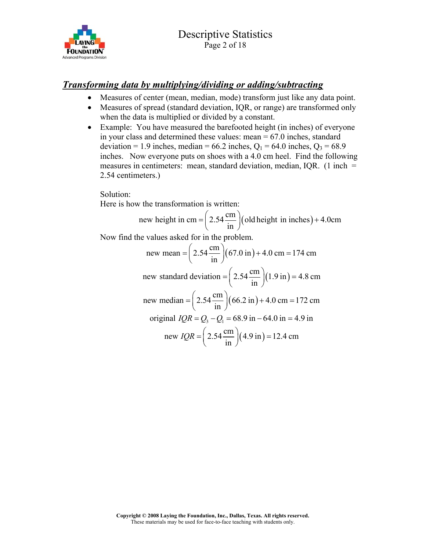

# *Transforming data by multiplying/dividing or adding/subtracting*

- ! Measures of center (mean, median, mode) transform just like any data point.
- ! Measures of spread (standard deviation, IQR, or range) are transformed only when the data is multiplied or divided by a constant.
- Example: You have measured the barefooted height (in inches) of everyone in your class and determined these values: mean  $= 67.0$  inches, standard deviation = 1.9 inches, median =  $66.2$  inches,  $Q_1 = 64.0$  inches,  $Q_3 = 68.9$ inches. Now everyone puts on shoes with a 4.0 cm heel. Find the following measures in centimeters: mean, standard deviation, median,  $IQR$ . (1 inch = 2.54 centimeters.)

Solution:

Here is how the transformation is written:

new height in cm = 
$$
\left(2.54 \frac{\text{cm}}{\text{in}}\right)
$$
 (old height in inches) + 4.0cm

Now find the values asked for in the problem.

new mean = 
$$
\left(2.54 \frac{cm}{in}\right) (67.0 \text{ in}) + 4.0 \text{ cm} = 174 \text{ cm}
$$
  
\nnew standard deviation =  $\left(2.54 \frac{cm}{in}\right) (1.9 \text{ in}) = 4.8 \text{ cm}$   
\nnew median =  $\left(2.54 \frac{cm}{in}\right) (66.2 \text{ in}) + 4.0 \text{ cm} = 172 \text{ cm}$   
\noriginal  $IQR = Q_3 - Q_1 = 68.9 \text{ in} - 64.0 \text{ in} = 4.9 \text{ in}$   
\nnew  $IQR = \left(2.54 \frac{cm}{in}\right) (4.9 \text{ in}) = 12.4 \text{ cm}$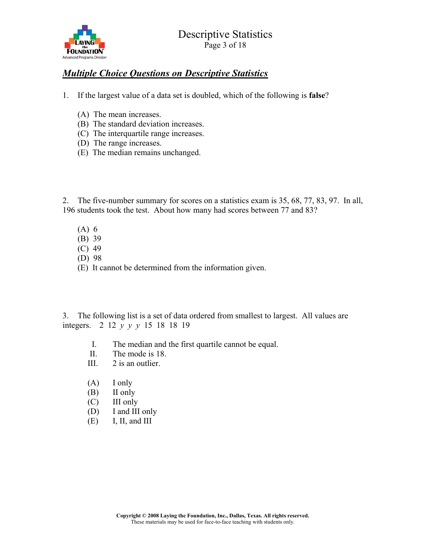

# *Multiple Choice Questions on Descriptive Statistics*

- 1. If the largest value of a data set is doubled, which of the following is false?
	- (A) The mean increases.
	- (B) The standard deviation increases.
	- (C) The interquartile range increases.
	- (D) The range increases.
	- (E) The median remains unchanged.

2. The five-number summary for scores on a statistics exam is 35, 68, 77, 83, 97. In all, 196 students took the test. About how many had scores between 77 and 83?

- (A) 6
- (B) 39
- (C) 49
- (D) 98
- (E) It cannot be determined from the information given.

3. The following list is a set of data ordered from smallest to largest. All values are integers. 2 12 *y y y* 15 18 18 19

- I. The median and the first quartile cannot be equal.
- II. The mode is 18.
- III. 2 is an outlier.
- (A) I only
- (B) II only
- (C) III only
- (D) I and III only
- $(E)$  I, II, and III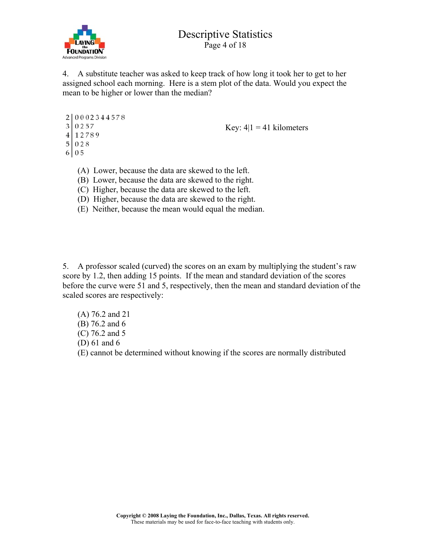

4. A substitute teacher was asked to keep track of how long it took her to get to her assigned school each morning. Here is a stem plot of the data. Would you expect the mean to be higher or lower than the median?

```
20002344578
302574 12789
50286 \mid 0.5
```
Key:  $4|1 = 41$  kilometers

- (A) Lower, because the data are skewed to the left.
- (B) Lower, because the data are skewed to the right.
- (C) Higher, because the data are skewed to the left.
- (D) Higher, because the data are skewed to the right.
- (E) Neither, because the mean would equal the median.

5. A professor scaled (curved) the scores on an exam by multiplying the student's raw score by 1.2, then adding 15 points. If the mean and standard deviation of the scores before the curve were 51 and 5, respectively, then the mean and standard deviation of the scaled scores are respectively:

- (A) 76.2 and 21 (B) 76.2 and 6
- (C) 76.2 and 5
- (D) 61 and 6

(E) cannot be determined without knowing if the scores are normally distributed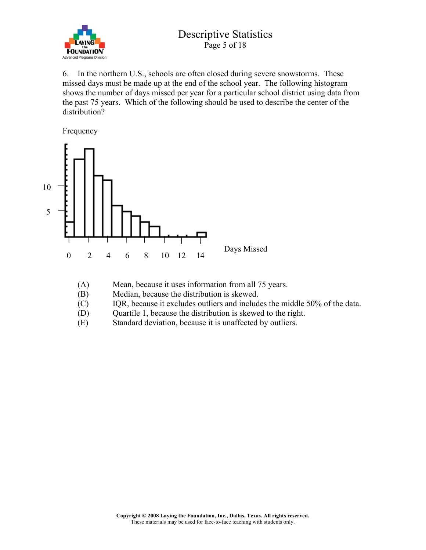

6. In the northern U.S., schools are often closed during severe snowstorms. These missed days must be made up at the end of the school year. The following histogram shows the number of days missed per year for a particular school district using data from the past 75 years. Which of the following should be used to describe the center of the distribution?

Frequency



- (A) Mean, because it uses information from all 75 years.
- (B) Median, because the distribution is skewed.
- (C) IQR, because it excludes outliers and includes the middle 50% of the data.
- (D) Quartile 1, because the distribution is skewed to the right.
- (E) Standard deviation, because it is unaffected by outliers.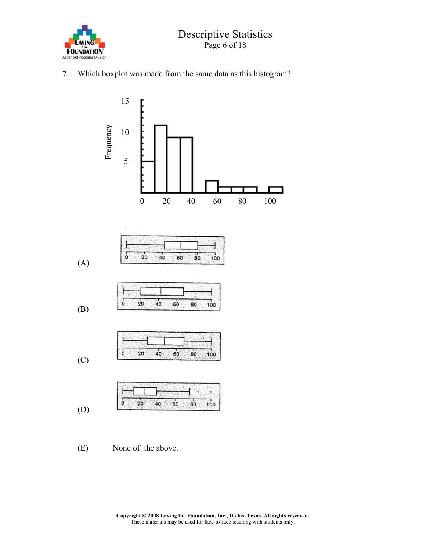

7. Which boxplot was made from the same data as this histogram?

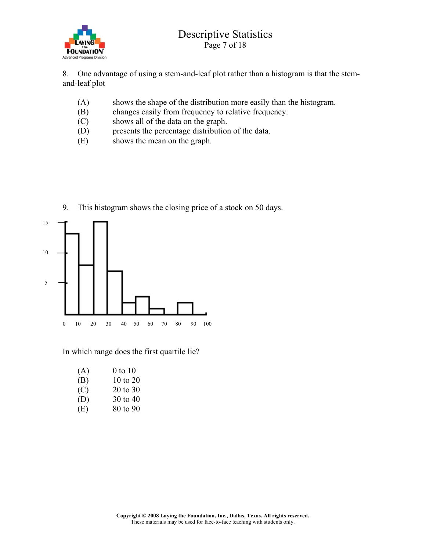

8. One advantage of using a stem-and-leaf plot rather than a histogram is that the stemand-leaf plot

- (A) shows the shape of the distribution more easily than the histogram.
- (B) changes easily from frequency to relative frequency.
- (C) shows all of the data on the graph.
- (D) presents the percentage distribution of the data.

9. This histogram shows the closing price of a stock on 50 days.

(E) shows the mean on the graph.



In which range does the first quartile lie?

| (A) | $0$ to $10$ |
|-----|-------------|
| (B) | 10 to 20    |
| (C) | 20 to 30    |
| (D) | 30 to 40    |
| (E) | 80 to 90    |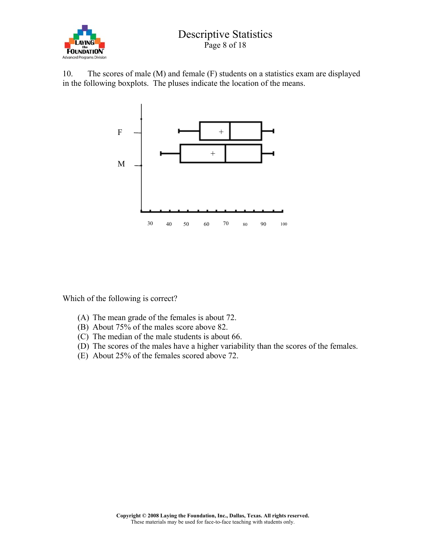

10. The scores of male (M) and female (F) students on a statistics exam are displayed in the following boxplots. The pluses indicate the location of the means.



Which of the following is correct?

- (A) The mean grade of the females is about 72.
- (B) About 75% of the males score above 82.
- (C) The median of the male students is about 66.
- (D) The scores of the males have a higher variability than the scores of the females.
- (E) About 25% of the females scored above 72.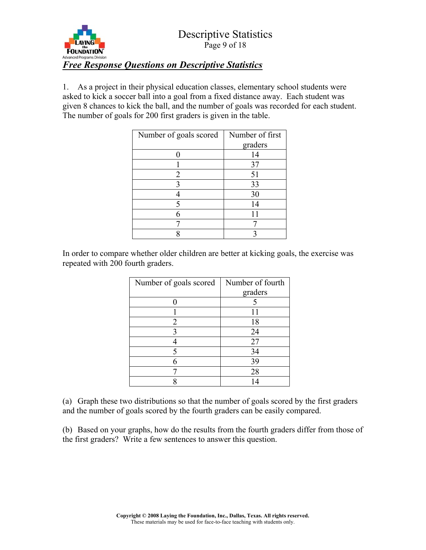

1. As a project in their physical education classes, elementary school students were asked to kick a soccer ball into a goal from a fixed distance away. Each student was given 8 chances to kick the ball, and the number of goals was recorded for each student. The number of goals for 200 first graders is given in the table.

| Number of goals scored | Number of first |
|------------------------|-----------------|
|                        | graders         |
|                        | 14              |
|                        | 37              |
| $\overline{2}$         | 51              |
| 3                      | 33              |
|                        | 30              |
| 5                      | 14              |
|                        |                 |
|                        |                 |
|                        |                 |

In order to compare whether older children are better at kicking goals, the exercise was repeated with 200 fourth graders.

| Number of goals scored | Number of fourth |
|------------------------|------------------|
|                        | graders          |
|                        |                  |
|                        |                  |
| 2                      | 18               |
| 3                      | 24               |
|                        | 27               |
|                        | 34               |
|                        | 39               |
|                        | 28               |
|                        | 14               |

(a) Graph these two distributions so that the number of goals scored by the first graders and the number of goals scored by the fourth graders can be easily compared.

(b) Based on your graphs, how do the results from the fourth graders differ from those of the first graders? Write a few sentences to answer this question.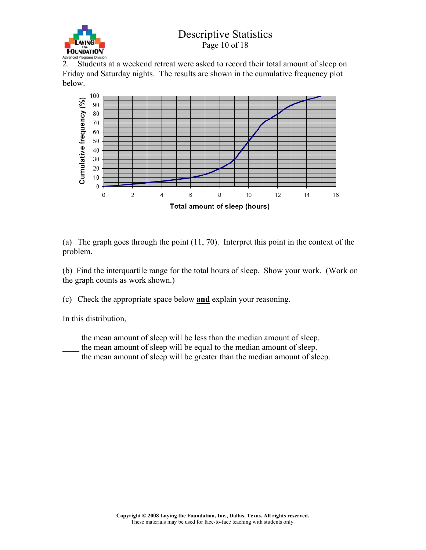

2. Students at a weekend retreat were asked to record their total amount of sleep on Friday and Saturday nights. The results are shown in the cumulative frequency plot below.



(a) The graph goes through the point (11, 70). Interpret this point in the context of the problem.

(b) Find the interquartile range for the total hours of sleep. Show your work. (Work on the graph counts as work shown.)

(c) Check the appropriate space below and explain your reasoning.

In this distribution,

- the mean amount of sleep will be less than the median amount of sleep.
- the mean amount of sleep will be equal to the median amount of sleep.
- the mean amount of sleep will be greater than the median amount of sleep.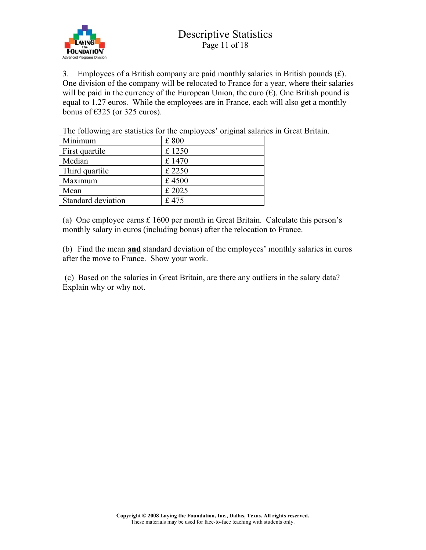

3. Employees of a British company are paid monthly salaries in British pounds  $(f)$ . One division of the company will be relocated to France for a year, where their salaries will be paid in the currency of the European Union, the euro  $(\epsilon)$ . One British pound is equal to 1.27 euros. While the employees are in France, each will also get a monthly bonus of  $\epsilon$ 325 (or 325 euros).

The following are statistics for the employees' original salaries in Great Britain.

| Minimum            | £800   |
|--------------------|--------|
| First quartile     | £ 1250 |
| Median             | £1470  |
| Third quartile     | £ 2250 |
| Maximum            | £4500  |
| Mean               | £ 2025 |
| Standard deviation | £475   |

(a) One employee earns £ 1600 per month in Great Britain. Calculate this person's monthly salary in euros (including bonus) after the relocation to France.

(b) Find the mean and standard deviation of the employees' monthly salaries in euros after the move to France. Show your work.

 (c) Based on the salaries in Great Britain, are there any outliers in the salary data? Explain why or why not.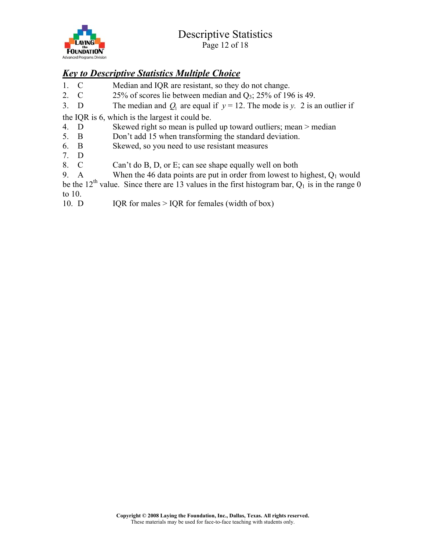

# *Key to Descriptive Statistics Multiple Choice*

- 1. C Median and IQR are resistant, so they do not change.
- 2. C 25% of scores lie between median and  $Q_3$ ; 25% of 196 is 49.
- 3. D The median and  $Q_1$  are equal if  $y = 12$ . The mode is *y*. 2 is an outlier if

the IQR is 6, which is the largest it could be.

- 4. D Skewed right so mean is pulled up toward outliers; mean > median
- 5. B Don't add 15 when transforming the standard deviation.
- 6. B Skewed, so you need to use resistant measures
- 7. D
- Can't do B, D, or E; can see shape equally well on both

9. A When the 46 data points are put in order from lowest to highest,  $Q_1$  would be the 12<sup>th</sup> value. Since there are 13 values in the first histogram bar,  $Q_1$  is in the range 0 to 10.

10. D IQR for males  $>$  IQR for females (width of box)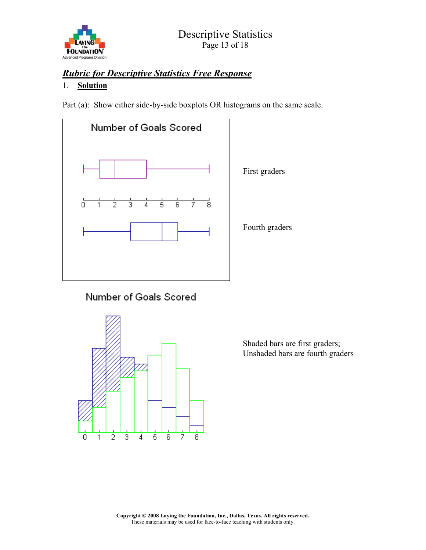

# *Rubric for Descriptive Statistics Free Response*

#### 1. Solution

Part (a): Show either side-by-side boxplots OR histograms on the same scale.



# Number of Goals Scored



Shaded bars are first graders; Unshaded bars are fourth graders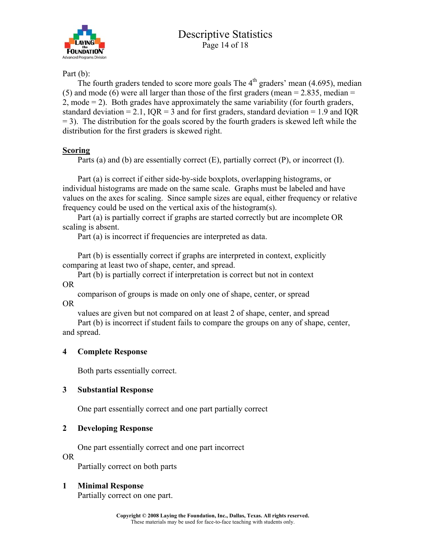

Part (b):

The fourth graders tended to score more goals The  $4<sup>th</sup>$  graders' mean (4.695), median (5) and mode (6) were all larger than those of the first graders (mean  $= 2.835$ , median  $=$ 2, mode = 2). Both grades have approximately the same variability (for fourth graders, standard deviation = 2.1,  $IQR = 3$  and for first graders, standard deviation = 1.9 and IQR  $= 3$ ). The distribution for the goals scored by the fourth graders is skewed left while the distribution for the first graders is skewed right.

# **Scoring**

Parts (a) and (b) are essentially correct (E), partially correct (P), or incorrect (I).

Part (a) is correct if either side-by-side boxplots, overlapping histograms, or individual histograms are made on the same scale. Graphs must be labeled and have values on the axes for scaling. Since sample sizes are equal, either frequency or relative frequency could be used on the vertical axis of the histogram(s).

Part (a) is partially correct if graphs are started correctly but are incomplete OR scaling is absent.

Part (a) is incorrect if frequencies are interpreted as data.

Part (b) is essentially correct if graphs are interpreted in context, explicitly comparing at least two of shape, center, and spread.

Part (b) is partially correct if interpretation is correct but not in context OR

comparison of groups is made on only one of shape, center, or spread OR

values are given but not compared on at least 2 of shape, center, and spread

Part (b) is incorrect if student fails to compare the groups on any of shape, center, and spread.

# 4 Complete Response

Both parts essentially correct.

# 3 Substantial Response

One part essentially correct and one part partially correct

# 2 Developing Response

One part essentially correct and one part incorrect

OR

Partially correct on both parts

# 1 Minimal Response

Partially correct on one part.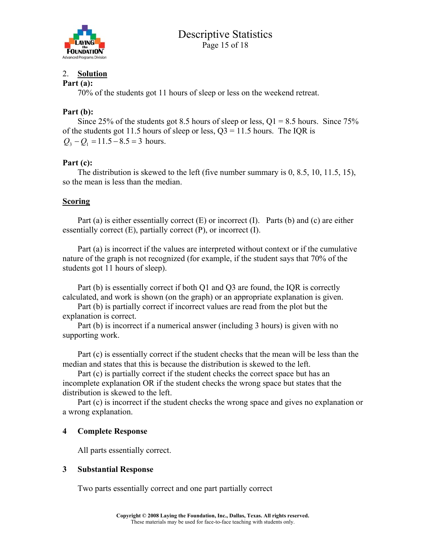

#### 2. Solution

#### Part (a):

70% of the students got 11 hours of sleep or less on the weekend retreat.

#### Part (b):

Since 25% of the students got 8.5 hours of sleep or less,  $Q1 = 8.5$  hours. Since 75% of the students got 11.5 hours of sleep or less,  $Q3 = 11.5$  hours. The IQR is  $Q_3 - Q_1 = 11.5 - 8.5 = 3$  hours.

#### Part (c):

The distribution is skewed to the left (five number summary is 0, 8.5, 10, 11.5, 15), so the mean is less than the median.

#### Scoring

Part (a) is either essentially correct (E) or incorrect (I). Parts (b) and (c) are either essentially correct  $(E)$ , partially correct  $(P)$ , or incorrect  $(I)$ .

Part (a) is incorrect if the values are interpreted without context or if the cumulative nature of the graph is not recognized (for example, if the student says that 70% of the students got 11 hours of sleep).

Part (b) is essentially correct if both Q1 and Q3 are found, the IQR is correctly calculated, and work is shown (on the graph) or an appropriate explanation is given.

Part (b) is partially correct if incorrect values are read from the plot but the explanation is correct.

Part (b) is incorrect if a numerical answer (including 3 hours) is given with no supporting work.

Part (c) is essentially correct if the student checks that the mean will be less than the median and states that this is because the distribution is skewed to the left.

Part (c) is partially correct if the student checks the correct space but has an incomplete explanation OR if the student checks the wrong space but states that the distribution is skewed to the left.

Part (c) is incorrect if the student checks the wrong space and gives no explanation or a wrong explanation.

#### 4 Complete Response

All parts essentially correct.

#### 3 Substantial Response

Two parts essentially correct and one part partially correct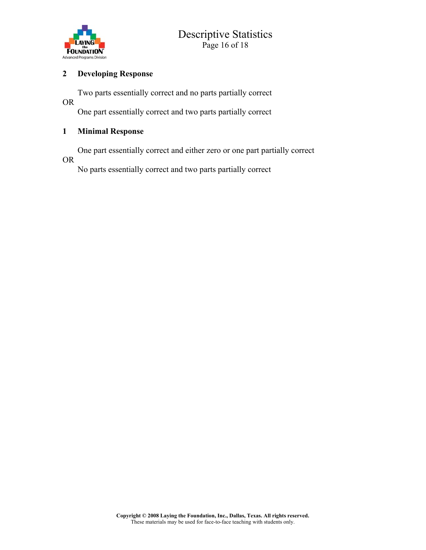

#### 2 Developing Response

Two parts essentially correct and no parts partially correct

OR

One part essentially correct and two parts partially correct

# 1 Minimal Response

One part essentially correct and either zero or one part partially correct

OR

No parts essentially correct and two parts partially correct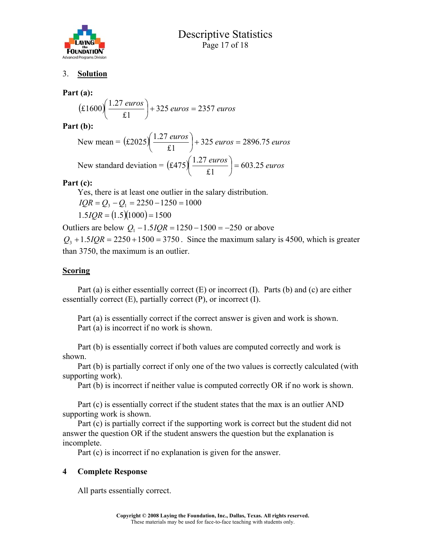

#### 3. Solution

#### Part (a):

$$
(\pounds1600)\left(\frac{1.27 \text{ euros}}{\pounds1}\right) + 325 \text{ euros} = 2357 \text{ euros}
$$

Part (b):

New mean = 
$$
(\pounds2025)\left(\frac{1.27 \text{ euros}}{\pounds1}\right) + 325 \text{ euros} = 2896.75 \text{ euros}
$$
  
New standard deviation =  $(\pounds475)\left(\frac{1.27 \text{ euros}}{\pounds1}\right) = 603.25 \text{ euros}$ 

#### Part (c):

Yes, there is at least one outlier in the salary distribution.  $1.5 IQR = (1.5)(1000) = 1500$  $IQR = Q_3 - Q_1 = 2250 - 1250 = 1000$ 

Outliers are below  $Q_1 - 1.5 IQR = 1250 - 1500 = -250$  or above

 $Q_3 + 1.5IQR = 2250 + 1500 = 3750$ . Since the maximum salary is 4500, which is greater than 3750, the maximum is an outlier.

#### **Scoring**

Part (a) is either essentially correct (E) or incorrect (I). Parts (b) and (c) are either essentially correct  $(E)$ , partially correct  $(P)$ , or incorrect  $(I)$ .

Part (a) is essentially correct if the correct answer is given and work is shown. Part (a) is incorrect if no work is shown.

Part (b) is essentially correct if both values are computed correctly and work is shown.

Part (b) is partially correct if only one of the two values is correctly calculated (with supporting work).

Part (b) is incorrect if neither value is computed correctly OR if no work is shown.

Part (c) is essentially correct if the student states that the max is an outlier AND supporting work is shown.

Part (c) is partially correct if the supporting work is correct but the student did not answer the question OR if the student answers the question but the explanation is incomplete.

Part (c) is incorrect if no explanation is given for the answer.

#### 4 Complete Response

All parts essentially correct.